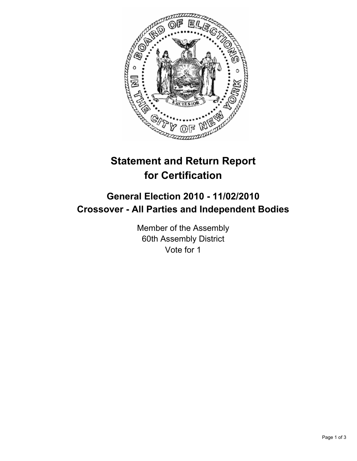

# **Statement and Return Report for Certification**

## **General Election 2010 - 11/02/2010 Crossover - All Parties and Independent Bodies**

Member of the Assembly 60th Assembly District Vote for 1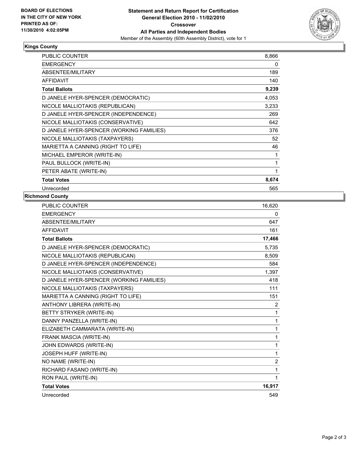

### **Kings County**

| <b>PUBLIC COUNTER</b>                    | 8,866 |
|------------------------------------------|-------|
| <b>EMERGENCY</b>                         | 0     |
| ABSENTEE/MILITARY                        | 189   |
| <b>AFFIDAVIT</b>                         | 140   |
| <b>Total Ballots</b>                     | 9,239 |
| D JANELE HYER-SPENCER (DEMOCRATIC)       | 4,053 |
| NICOLE MALLIOTAKIS (REPUBLICAN)          | 3,233 |
| D JANELE HYER-SPENCER (INDEPENDENCE)     | 269   |
| NICOLE MALLIOTAKIS (CONSERVATIVE)        | 642   |
| D JANELE HYER-SPENCER (WORKING FAMILIES) | 376   |
| NICOLE MALLIOTAKIS (TAXPAYERS)           | 52    |
| MARIETTA A CANNING (RIGHT TO LIFE)       | 46    |
| MICHAEL EMPEROR (WRITE-IN)               | 1     |
| PAUL BULLOCK (WRITE-IN)                  | 1     |
| PETER ABATE (WRITE-IN)                   | 1     |
| <b>Total Votes</b>                       | 8,674 |
| Unrecorded                               | 565   |

### **Richmond County**

| <b>PUBLIC COUNTER</b>                    | 16,620         |
|------------------------------------------|----------------|
| <b>EMERGENCY</b>                         | 0              |
| ABSENTEE/MILITARY                        | 647            |
| <b>AFFIDAVIT</b>                         | 161            |
| <b>Total Ballots</b>                     | 17,466         |
| D JANELE HYER-SPENCER (DEMOCRATIC)       | 5,735          |
| NICOLE MALLIOTAKIS (REPUBLICAN)          | 8,509          |
| D JANELE HYER-SPENCER (INDEPENDENCE)     | 584            |
| NICOLE MALLIOTAKIS (CONSERVATIVE)        | 1,397          |
| D JANELE HYER-SPENCER (WORKING FAMILIES) | 418            |
| NICOLE MALLIOTAKIS (TAXPAYERS)           | 111            |
| MARIETTA A CANNING (RIGHT TO LIFE)       | 151            |
| ANTHONY LIBRERA (WRITE-IN)               | $\overline{2}$ |
| BETTY STRYKER (WRITE-IN)                 | 1              |
| DANNY PANZELLA (WRITE-IN)                | 1              |
| ELIZABETH CAMMARATA (WRITE-IN)           | 1              |
| FRANK MASCIA (WRITE-IN)                  | 1              |
| JOHN EDWARDS (WRITE-IN)                  | 1              |
| JOSEPH HUFF (WRITE-IN)                   | 1              |
| NO NAME (WRITE-IN)                       | $\overline{2}$ |
| RICHARD FASANO (WRITE-IN)                | 1              |
| RON PAUL (WRITE-IN)                      | 1              |
| <b>Total Votes</b>                       | 16,917         |
| Unrecorded                               | 549            |